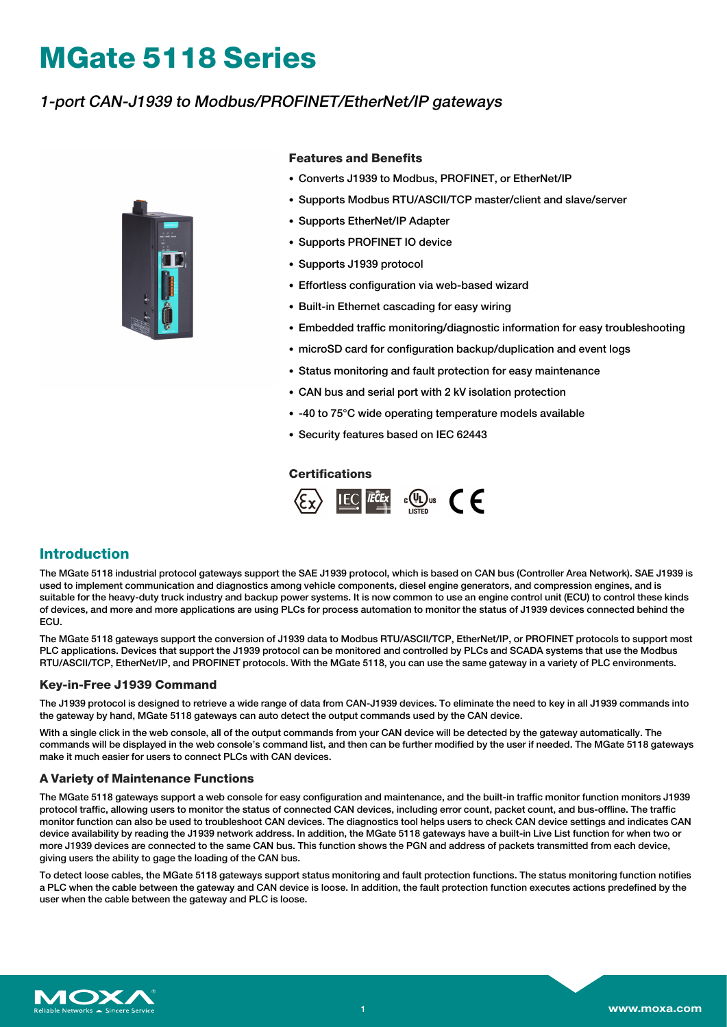# **MGate 5118 Series**

# 1-port CAN-J1939 to Modbus/PROFINET/EtherNet/IP gateways



### **Features and Benefits**

- Converts J1939 to Modbus, PROFINET, or EtherNet/IP
- Supports Modbus RTU/ASCII/TCP master/client and slave/server
- Supports EtherNet/IP Adapter
- Supports PROFINET IO device
- Supports J1939 protocol
- Effortless configuration via web-based wizard
- Built-in Ethernet cascading for easy wiring
- Embedded traffic monitoring/diagnostic information for easy troubleshooting
- microSD card for configuration backup/duplication and event logs
- Status monitoring and fault protection for easy maintenance
- CAN bus and serial port with 2 kV isolation protection
- -40 to 75°C wide operating temperature models available
- Security features based on IEC 62443

## **Certifications**



## **Introduction**

The MGate 5118 industrial protocol gateways support the SAE J1939 protocol, which is based on CAN bus (Controller Area Network). SAE J1939 is used to implement communication and diagnostics among vehicle components, diesel engine generators, and compression engines, and is suitable for the heavy-duty truck industry and backup power systems. It is now common to use an engine control unit (ECU) to control these kinds of devices, and more and more applications are using PLCs for process automation to monitor the status of J1939 devices connected behind the **ECU.** 

The MGate 5118 gateways support the conversion of J1939 data to Modbus RTU/ASCII/TCP, EtherNet/IP, or PROFINET protocols to support most PLC applications. Devices that support the J1939 protocol can be monitored and controlled by PLCs and SCADA systems that use the Modbus RTU/ASCII/TCP, EtherNet/IP, and PROFINET protocols. With the MGate 5118, you can use the same gateway in a variety of PLC environments.

#### **Key-in-Free J1939 Command**

The J1939 protocol is designed to retrieve a wide range of data from CAN-J1939 devices. To eliminate the need to key in all J1939 commands into the gateway by hand, MGate 5118 gateways can auto detect the output commands used by the CAN device.

With a single click in the web console, all of the output commands from your CAN device will be detected by the gateway automatically. The commands will be displayed in the web console's command list, and then can be further modified by the user if needed. The MGate 5118 gateways make it much easier for users to connect PLCs with CAN devices.

#### **A Variety of Maintenance Functions**

The MGate 5118 gateways support a web console for easy configuration and maintenance, and the built-in traffic monitor function monitors J1939 protocol traffic, allowing users to monitor the status of connected CAN devices, including error count, packet count, and bus-offline. The traffic monitor function can also be used to troubleshoot CAN devices. The diagnostics tool helps users to check CAN device settings and indicates CAN device availability by reading the J1939 network address. In addition, the MGate 5118 gateways have a built-in Live List function for when two or more J1939 devices are connected to the same CAN bus. This function shows the PGN and address of packets transmitted from each device, giving users the ability to gage the loading of the CAN bus.

To detect loose cables, the MGate 5118 gateways support status monitoring and fault protection functions. The status monitoring function notifies a PLC when the cable between the gateway and CAN device is loose. In addition, the fault protection function executes actions predefined by the user when the cable between the gateway and PLC is loose.

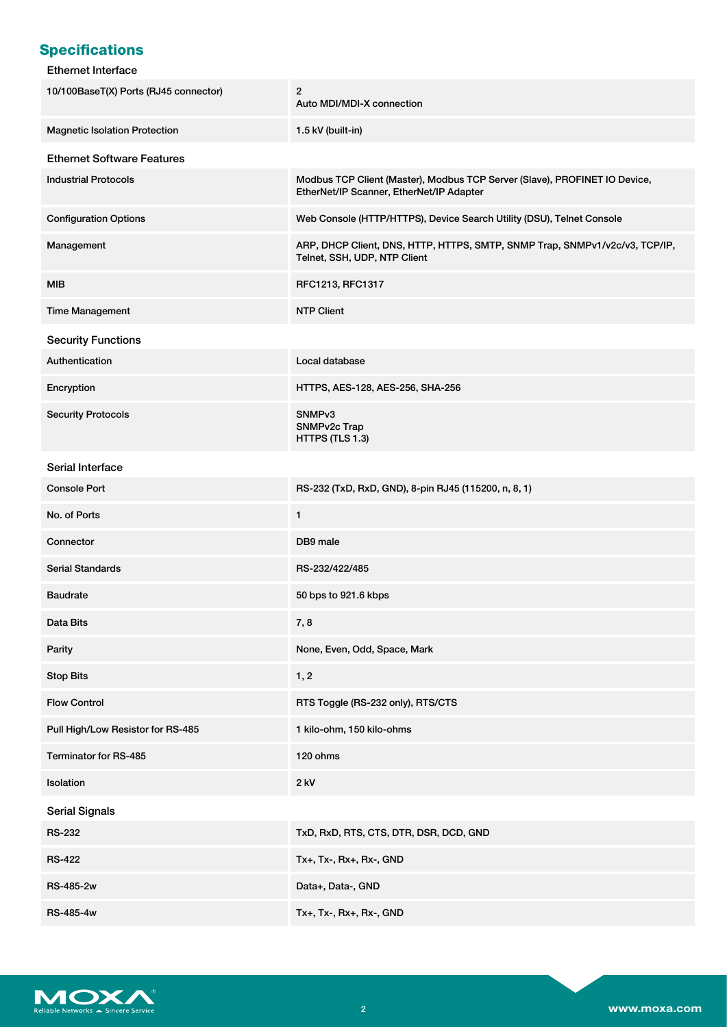# **Specifications**

## Ethernet Interface

| 10/100BaseT(X) Ports (RJ45 connector) | $\overline{c}$<br>Auto MDI/MDI-X connection                                                                            |
|---------------------------------------|------------------------------------------------------------------------------------------------------------------------|
| <b>Magnetic Isolation Protection</b>  | 1.5 kV (built-in)                                                                                                      |
| <b>Ethernet Software Features</b>     |                                                                                                                        |
| <b>Industrial Protocols</b>           | Modbus TCP Client (Master), Modbus TCP Server (Slave), PROFINET IO Device,<br>EtherNet/IP Scanner, EtherNet/IP Adapter |
| <b>Configuration Options</b>          | Web Console (HTTP/HTTPS), Device Search Utility (DSU), Telnet Console                                                  |
| Management                            | ARP, DHCP Client, DNS, HTTP, HTTPS, SMTP, SNMP Trap, SNMPv1/v2c/v3, TCP/IP,<br>Telnet, SSH, UDP, NTP Client            |
| MIB                                   | RFC1213, RFC1317                                                                                                       |
| <b>Time Management</b>                | <b>NTP Client</b>                                                                                                      |
| <b>Security Functions</b>             |                                                                                                                        |
| Authentication                        | Local database                                                                                                         |
| Encryption                            | HTTPS, AES-128, AES-256, SHA-256                                                                                       |
| <b>Security Protocols</b>             | SNMP <sub>v3</sub><br>SNMPv2c Trap<br>HTTPS (TLS 1.3)                                                                  |
| Serial Interface                      |                                                                                                                        |
| <b>Console Port</b>                   | RS-232 (TxD, RxD, GND), 8-pin RJ45 (115200, n, 8, 1)                                                                   |
| No. of Ports                          | 1                                                                                                                      |
| Connector                             | DB9 male                                                                                                               |
| <b>Serial Standards</b>               | RS-232/422/485                                                                                                         |
| <b>Baudrate</b>                       | 50 bps to 921.6 kbps                                                                                                   |
| Data Bits                             | 7,8                                                                                                                    |
| Parity                                | None, Even, Odd, Space, Mark                                                                                           |
| <b>Stop Bits</b>                      | 1, 2                                                                                                                   |
| <b>Flow Control</b>                   | RTS Toggle (RS-232 only), RTS/CTS                                                                                      |
| Pull High/Low Resistor for RS-485     | 1 kilo-ohm, 150 kilo-ohms                                                                                              |
| Terminator for RS-485                 | 120 ohms                                                                                                               |
| Isolation                             | 2 kV                                                                                                                   |
| <b>Serial Signals</b>                 |                                                                                                                        |
| <b>RS-232</b>                         | TxD, RxD, RTS, CTS, DTR, DSR, DCD, GND                                                                                 |
| <b>RS-422</b>                         | Tx+, Tx-, Rx+, Rx-, GND                                                                                                |
| RS-485-2w                             | Data+, Data-, GND                                                                                                      |
| RS-485-4w                             | Tx+, Tx-, Rx+, Rx-, GND                                                                                                |

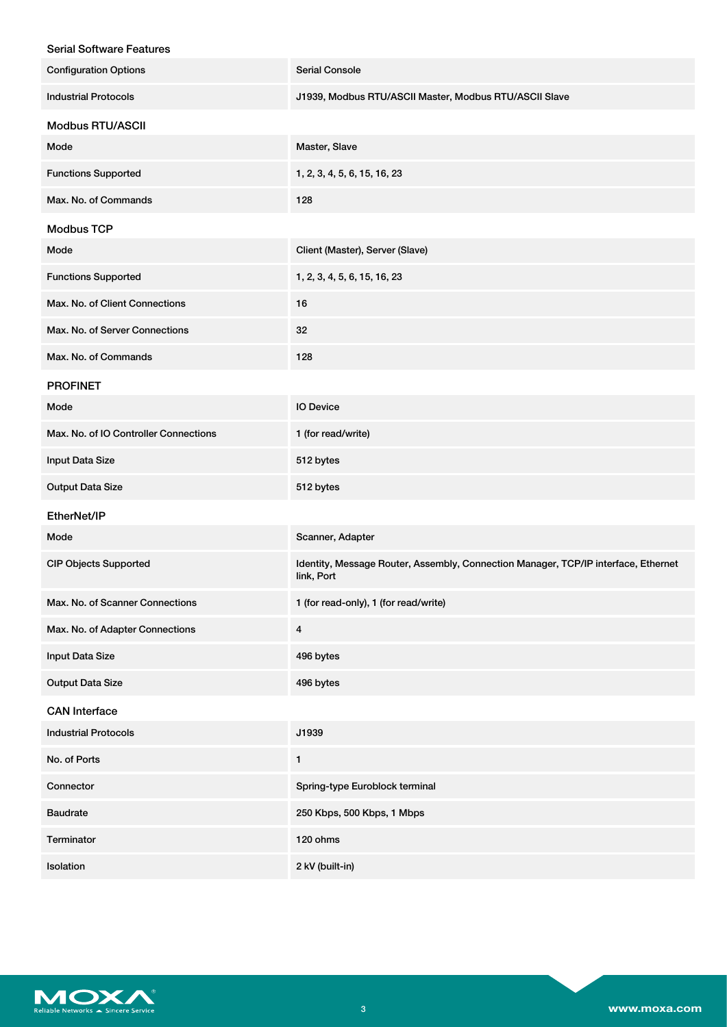| <b>Serial Console</b>                                                                            |
|--------------------------------------------------------------------------------------------------|
| J1939, Modbus RTU/ASCII Master, Modbus RTU/ASCII Slave                                           |
|                                                                                                  |
| Master, Slave                                                                                    |
| 1, 2, 3, 4, 5, 6, 15, 16, 23                                                                     |
| 128                                                                                              |
|                                                                                                  |
| Client (Master), Server (Slave)                                                                  |
| 1, 2, 3, 4, 5, 6, 15, 16, 23                                                                     |
| 16                                                                                               |
| 32                                                                                               |
| 128                                                                                              |
|                                                                                                  |
| <b>IO Device</b>                                                                                 |
| 1 (for read/write)                                                                               |
| 512 bytes                                                                                        |
| 512 bytes                                                                                        |
|                                                                                                  |
| Scanner, Adapter                                                                                 |
| Identity, Message Router, Assembly, Connection Manager, TCP/IP interface, Ethernet<br>link, Port |
| 1 (for read-only), 1 (for read/write)                                                            |
| $\overline{\mathbf{4}}$                                                                          |
| 496 bytes                                                                                        |
| 496 bytes                                                                                        |
|                                                                                                  |
| J1939                                                                                            |
| 1                                                                                                |
| Spring-type Euroblock terminal                                                                   |
| 250 Kbps, 500 Kbps, 1 Mbps                                                                       |
| 120 ohms                                                                                         |
| 2 kV (built-in)                                                                                  |
|                                                                                                  |

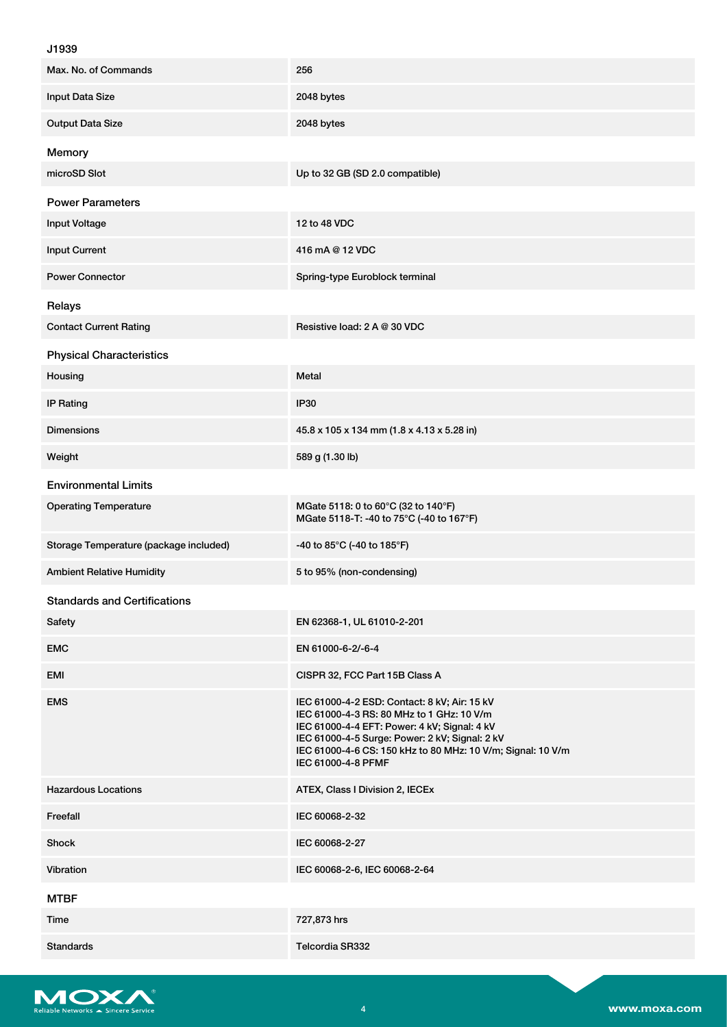## J1939

| Max. No. of Commands                   | 256                                                                                                                                                                                                                                                                              |
|----------------------------------------|----------------------------------------------------------------------------------------------------------------------------------------------------------------------------------------------------------------------------------------------------------------------------------|
| Input Data Size                        | 2048 bytes                                                                                                                                                                                                                                                                       |
| <b>Output Data Size</b>                | 2048 bytes                                                                                                                                                                                                                                                                       |
| Memory                                 |                                                                                                                                                                                                                                                                                  |
| microSD Slot                           | Up to 32 GB (SD 2.0 compatible)                                                                                                                                                                                                                                                  |
| <b>Power Parameters</b>                |                                                                                                                                                                                                                                                                                  |
| <b>Input Voltage</b>                   | 12 to 48 VDC                                                                                                                                                                                                                                                                     |
| <b>Input Current</b>                   | 416 mA @ 12 VDC                                                                                                                                                                                                                                                                  |
| <b>Power Connector</b>                 | Spring-type Euroblock terminal                                                                                                                                                                                                                                                   |
| Relays                                 |                                                                                                                                                                                                                                                                                  |
| <b>Contact Current Rating</b>          | Resistive load: 2 A @ 30 VDC                                                                                                                                                                                                                                                     |
| <b>Physical Characteristics</b>        |                                                                                                                                                                                                                                                                                  |
| Housing                                | Metal                                                                                                                                                                                                                                                                            |
| <b>IP Rating</b>                       | IP30                                                                                                                                                                                                                                                                             |
| <b>Dimensions</b>                      | 45.8 x 105 x 134 mm (1.8 x 4.13 x 5.28 in)                                                                                                                                                                                                                                       |
| Weight                                 | 589 g (1.30 lb)                                                                                                                                                                                                                                                                  |
| <b>Environmental Limits</b>            |                                                                                                                                                                                                                                                                                  |
| <b>Operating Temperature</b>           | MGate 5118: 0 to 60°C (32 to 140°F)<br>MGate 5118-T: -40 to 75°C (-40 to 167°F)                                                                                                                                                                                                  |
| Storage Temperature (package included) | -40 to 85°C (-40 to 185°F)                                                                                                                                                                                                                                                       |
| <b>Ambient Relative Humidity</b>       | 5 to 95% (non-condensing)                                                                                                                                                                                                                                                        |
| <b>Standards and Certifications</b>    |                                                                                                                                                                                                                                                                                  |
| Safety                                 | EN 62368-1, UL 61010-2-201                                                                                                                                                                                                                                                       |
| <b>EMC</b>                             | EN 61000-6-2/-6-4                                                                                                                                                                                                                                                                |
| EMI                                    | CISPR 32, FCC Part 15B Class A                                                                                                                                                                                                                                                   |
| <b>EMS</b>                             | IEC 61000-4-2 ESD: Contact: 8 kV; Air: 15 kV<br>IEC 61000-4-3 RS: 80 MHz to 1 GHz: 10 V/m<br>IEC 61000-4-4 EFT: Power: 4 kV; Signal: 4 kV<br>IEC 61000-4-5 Surge: Power: 2 kV; Signal: 2 kV<br>IEC 61000-4-6 CS: 150 kHz to 80 MHz: 10 V/m; Signal: 10 V/m<br>IEC 61000-4-8 PFMF |
| <b>Hazardous Locations</b>             | ATEX, Class I Division 2, IECEx                                                                                                                                                                                                                                                  |
| Freefall                               | IEC 60068-2-32                                                                                                                                                                                                                                                                   |
| Shock                                  | IEC 60068-2-27                                                                                                                                                                                                                                                                   |
| Vibration                              | IEC 60068-2-6, IEC 60068-2-64                                                                                                                                                                                                                                                    |
| <b>MTBF</b>                            |                                                                                                                                                                                                                                                                                  |
| Time                                   | 727,873 hrs                                                                                                                                                                                                                                                                      |
| <b>Standards</b>                       | Telcordia SR332                                                                                                                                                                                                                                                                  |

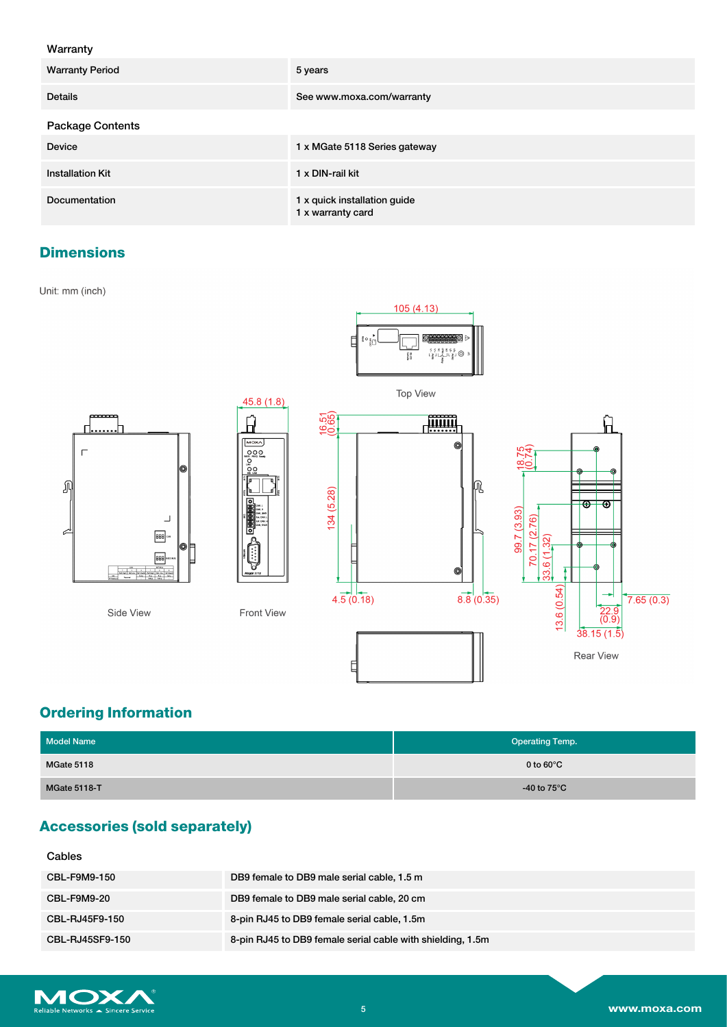## Warranty

| <b>Warranty Period</b>  | 5 years                                           |
|-------------------------|---------------------------------------------------|
| <b>Details</b>          | See www.moxa.com/warranty                         |
| <b>Package Contents</b> |                                                   |
| <b>Device</b>           | 1 x MGate 5118 Series gateway                     |
| <b>Installation Kit</b> | 1 x DIN-rail kit                                  |
| Documentation           | 1 x quick installation guide<br>1 x warranty card |

# **Dimensions**

Unit: mm (inch)





# **Ordering Information**

| <b>Model Name</b>   | <b>Operating Temp.</b> |
|---------------------|------------------------|
| MGate 5118          | 0 to $60^{\circ}$ C    |
| <b>MGate 5118-T</b> | -40 to $75^{\circ}$ C  |

# **Accessories (sold separately)**

#### Cables

| <b>CBL-F9M9-150</b>    | DB9 female to DB9 male serial cable, 1.5 m                 |
|------------------------|------------------------------------------------------------|
| CBL-F9M9-20            | DB9 female to DB9 male serial cable, 20 cm                 |
| CBL-RJ45F9-150         | 8-pin RJ45 to DB9 female serial cable, 1.5m                |
| <b>CBL-RJ45SF9-150</b> | 8-pin RJ45 to DB9 female serial cable with shielding, 1.5m |